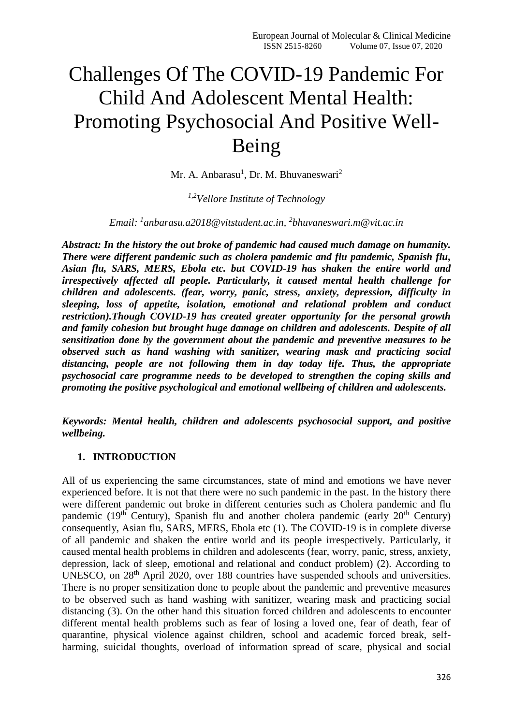# Challenges Of The COVID-19 Pandemic For Child And Adolescent Mental Health: Promoting Psychosocial And Positive Well-Being

Mr. A. Anbarasu<sup>1</sup>, Dr. M. Bhuvaneswari<sup>2</sup>

# *1,2Vellore Institute of Technology*

# *Email: <sup>1</sup> [anbarasu.a2018@vitstudent.ac.in,](mailto:anbarasu.a2018@vitstudent.ac.in) 2 [bhuvaneswari.m@vit.ac.in](mailto:bhuvaneswari.m@vit.ac.in)*

*Abstract: In the history the out broke of pandemic had caused much damage on humanity. There were different pandemic such as cholera pandemic and flu pandemic, Spanish flu, Asian flu, SARS, MERS, Ebola etc. but COVID-19 has shaken the entire world and irrespectively affected all people. Particularly, it caused mental health challenge for children and adolescents. (fear, worry, panic, stress, anxiety, depression, difficulty in sleeping, loss of appetite, isolation, emotional and relational problem and conduct restriction).Though COVID-19 has created greater opportunity for the personal growth and family cohesion but brought huge damage on children and adolescents. Despite of all sensitization done by the government about the pandemic and preventive measures to be observed such as hand washing with sanitizer, wearing mask and practicing social distancing, people are not following them in day today life. Thus, the appropriate psychosocial care programme needs to be developed to strengthen the coping skills and promoting the positive psychological and emotional wellbeing of children and adolescents.* 

*Keywords: Mental health, children and adolescents psychosocial support, and positive wellbeing.*

## **1. INTRODUCTION**

All of us experiencing the same circumstances, state of mind and emotions we have never experienced before. It is not that there were no such pandemic in the past. In the history there were different pandemic out broke in different centuries such as Cholera pandemic and flu pandemic ( $19<sup>th</sup>$  Century), Spanish flu and another cholera pandemic (early  $20<sup>th</sup>$  Century) consequently, Asian flu, SARS, MERS, Ebola etc (1). The COVID-19 is in complete diverse of all pandemic and shaken the entire world and its people irrespectively. Particularly, it caused mental health problems in children and adolescents (fear, worry, panic, stress, anxiety, depression, lack of sleep, emotional and relational and conduct problem) (2). According to UNESCO, on 28<sup>th</sup> April 2020, over 188 countries have suspended schools and universities. There is no proper sensitization done to people about the pandemic and preventive measures to be observed such as hand washing with sanitizer, wearing mask and practicing social distancing (3). On the other hand this situation forced children and adolescents to encounter different mental health problems such as fear of losing a loved one, fear of death, fear of quarantine, physical violence against children, school and academic forced break, selfharming, suicidal thoughts, overload of information spread of scare, physical and social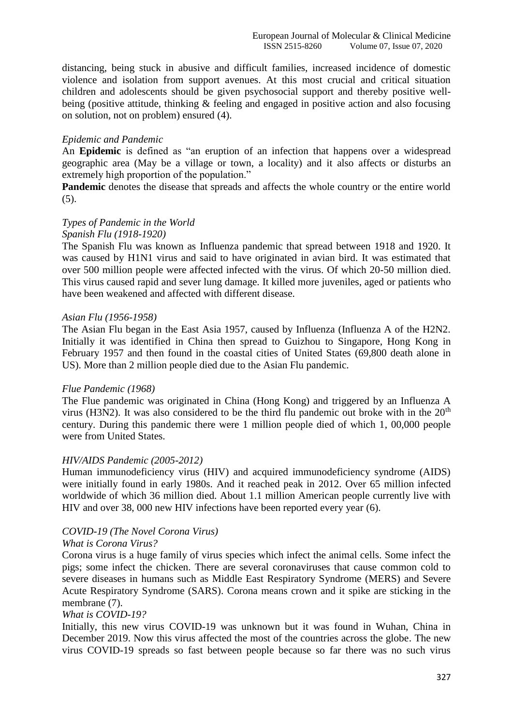distancing, being stuck in abusive and difficult families, increased incidence of domestic violence and isolation from support avenues. At this most crucial and critical situation children and adolescents should be given psychosocial support and thereby positive wellbeing (positive attitude, thinking & feeling and engaged in positive action and also focusing on solution, not on problem) ensured (4).

## *Epidemic and Pandemic*

An **Epidemic** is defined as "an eruption of an infection that happens over a widespread geographic area (May be a village or town, a locality) and it also affects or disturbs an extremely high proportion of the population."

**Pandemic** denotes the disease that spreads and affects the whole country or the entire world (5).

# *Types of Pandemic in the World*

## *Spanish Flu (1918-1920)*

The Spanish Flu was known as Influenza pandemic that spread between 1918 and 1920. It was caused by H1N1 virus and said to have originated in avian bird. It was estimated that over 500 million people were affected infected with the virus. Of which 20-50 million died. This virus caused rapid and sever lung damage. It killed more juveniles, aged or patients who have been weakened and affected with different disease.

## *Asian Flu (1956-1958)*

The Asian Flu began in the East Asia 1957, caused by Influenza (Influenza A of the H2N2. Initially it was identified in China then spread to Guizhou to Singapore, Hong Kong in February 1957 and then found in the coastal cities of United States (69,800 death alone in US). More than 2 million people died due to the Asian Flu pandemic.

#### *Flue Pandemic (1968)*

The Flue pandemic was originated in China (Hong Kong) and triggered by an Influenza A virus (H3N2). It was also considered to be the third flu pandemic out broke with in the  $20<sup>th</sup>$ century. During this pandemic there were 1 million people died of which 1, 00,000 people were from United States.

## *HIV/AIDS Pandemic (2005-2012)*

Human immunodeficiency virus (HIV) and acquired immunodeficiency syndrome (AIDS) were initially found in early 1980s. And it reached peak in 2012. Over 65 million infected worldwide of which 36 million died. About 1.1 million American people currently live with HIV and over 38, 000 new HIV infections have been reported every year (6).

## *COVID-19 (The Novel Corona Virus)*

## *What is Corona Virus?*

Corona virus is a huge family of virus species which infect the animal cells. Some infect the pigs; some infect the chicken. There are several coronaviruses that cause common cold to severe diseases in humans such as Middle East Respiratory Syndrome (MERS) and Severe Acute Respiratory Syndrome (SARS). Corona means crown and it spike are sticking in the membrane (7).

#### *What is COVID-19?*

Initially, this new virus COVID-19 was unknown but it was found in Wuhan, China in December 2019. Now this virus affected the most of the countries across the globe. The new virus COVID-19 spreads so fast between people because so far there was no such virus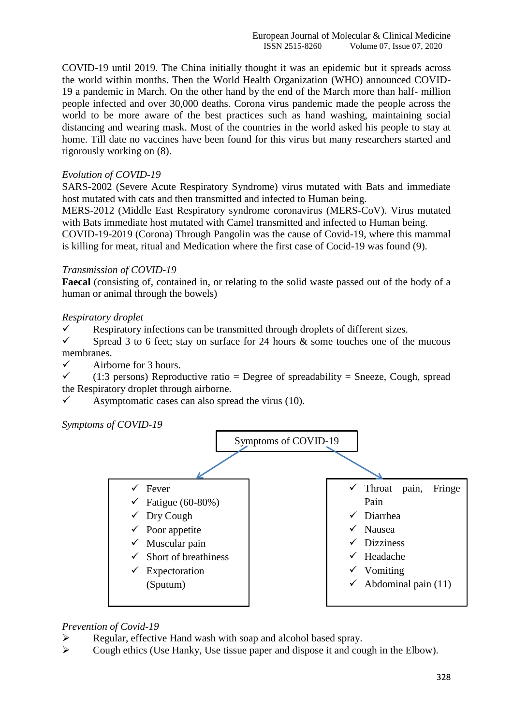COVID-19 until 2019. The China initially thought it was an epidemic but it spreads across the world within months. Then the World Health Organization (WHO) announced COVID-19 a pandemic in March. On the other hand by the end of the March more than half- million people infected and over 30,000 deaths. Corona virus pandemic made the people across the world to be more aware of the best practices such as hand washing, maintaining social distancing and wearing mask. Most of the countries in the world asked his people to stay at home. Till date no vaccines have been found for this virus but many researchers started and rigorously working on (8).

## *Evolution of COVID-19*

SARS-2002 (Severe Acute Respiratory Syndrome) virus mutated with Bats and immediate host mutated with cats and then transmitted and infected to Human being.

MERS-2012 (Middle East Respiratory syndrome coronavirus (MERS-CoV). Virus mutated with Bats immediate host mutated with Camel transmitted and infected to Human being.

COVID-19-2019 (Corona) Through Pangolin was the cause of Covid-19, where this mammal is killing for meat, ritual and Medication where the first case of Cocid-19 was found (9).

## *Transmission of COVID-19*

**Faecal** (consisting of, contained in, or relating to the solid waste passed out of the body of a human or animal through the bowels)

## *Respiratory droplet*

 $\checkmark$  Respiratory infections can be transmitted through droplets of different sizes.

 $\checkmark$  Spread 3 to 6 feet; stay on surface for 24 hours & some touches one of the mucous membranes.

 $\checkmark$  Airborne for 3 hours.

 $\checkmark$  (1:3 persons) Reproductive ratio = Degree of spreadability = Sneeze, Cough, spread the Respiratory droplet through airborne.

 $\checkmark$  Asymptomatic cases can also spread the virus (10).

*Symptoms of COVID-19*



#### *Prevention of Covid-19*

- $\triangleright$  Regular, effective Hand wash with soap and alcohol based spray.
- $\triangleright$  Cough ethics (Use Hanky, Use tissue paper and dispose it and cough in the Elbow).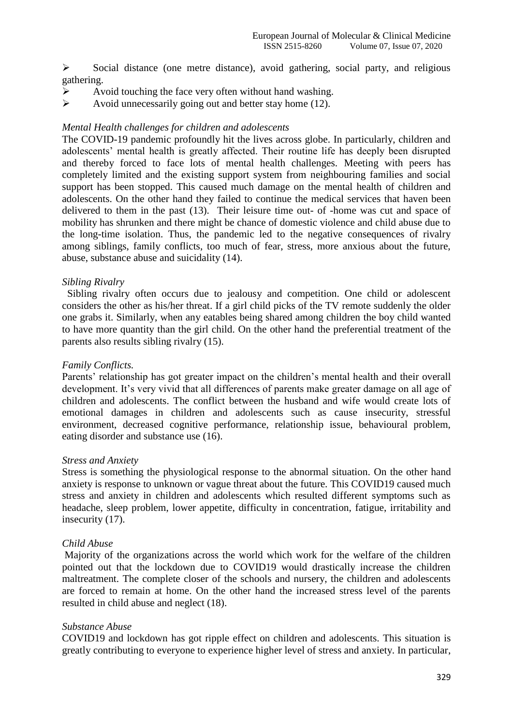$\triangleright$  Social distance (one metre distance), avoid gathering, social party, and religious gathering.

- $\triangleright$  Avoid touching the face very often without hand washing.
- $\triangleright$  Avoid unnecessarily going out and better stay home (12).

#### *Mental Health challenges for children and adolescents*

The COVID-19 pandemic profoundly hit the lives across globe. In particularly, children and adolescents' mental health is greatly affected. Their routine life has deeply been disrupted and thereby forced to face lots of mental health challenges. Meeting with peers has completely limited and the existing support system from neighbouring families and social support has been stopped. This caused much damage on the mental health of children and adolescents. On the other hand they failed to continue the medical services that haven been delivered to them in the past (13). Their leisure time out- of -home was cut and space of mobility has shrunken and there might be chance of domestic violence and child abuse due to the long-time isolation. Thus, the pandemic led to the negative consequences of rivalry among siblings, family conflicts, too much of fear, stress, more anxious about the future, abuse, substance abuse and suicidality (14).

#### *Sibling Rivalry*

 Sibling rivalry often occurs due to jealousy and competition. One child or adolescent considers the other as his/her threat. If a girl child picks of the TV remote suddenly the older one grabs it. Similarly, when any eatables being shared among children the boy child wanted to have more quantity than the girl child. On the other hand the preferential treatment of the parents also results sibling rivalry (15).

#### *Family Conflicts.*

Parents' relationship has got greater impact on the children's mental health and their overall development. It's very vivid that all differences of parents make greater damage on all age of children and adolescents. The conflict between the husband and wife would create lots of emotional damages in children and adolescents such as cause insecurity, stressful environment, decreased cognitive performance, relationship issue, behavioural problem, eating disorder and substance use (16).

#### *Stress and Anxiety*

Stress is something the physiological response to the abnormal situation. On the other hand anxiety is response to unknown or vague threat about the future. This COVID19 caused much stress and anxiety in children and adolescents which resulted different symptoms such as headache, sleep problem, lower appetite, difficulty in concentration, fatigue, irritability and insecurity (17).

## *Child Abuse*

Majority of the organizations across the world which work for the welfare of the children pointed out that the lockdown due to COVID19 would drastically increase the children maltreatment. The complete closer of the schools and nursery, the children and adolescents are forced to remain at home. On the other hand the increased stress level of the parents resulted in child abuse and neglect (18).

#### *Substance Abuse*

COVID19 and lockdown has got ripple effect on children and adolescents. This situation is greatly contributing to everyone to experience higher level of stress and anxiety. In particular,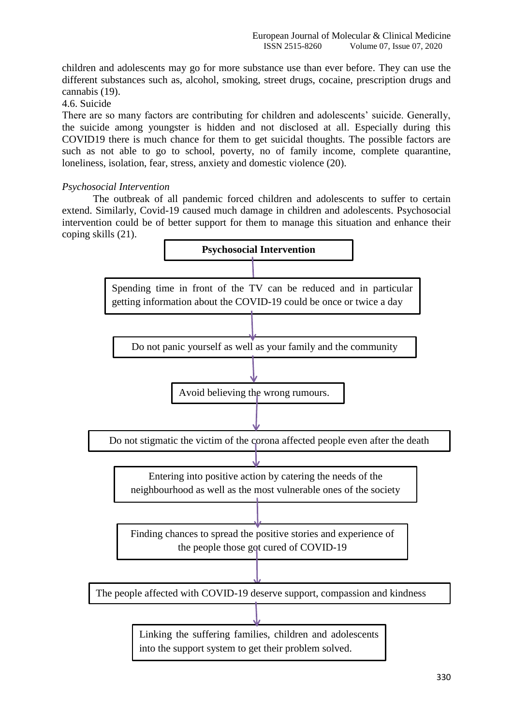children and adolescents may go for more substance use than ever before. They can use the different substances such as, alcohol, smoking, street drugs, cocaine, prescription drugs and cannabis (19).

# 4.6. Suicide

There are so many factors are contributing for children and adolescents' suicide. Generally, the suicide among youngster is hidden and not disclosed at all. Especially during this COVID19 there is much chance for them to get suicidal thoughts. The possible factors are such as not able to go to school, poverty, no of family income, complete quarantine, loneliness, isolation, fear, stress, anxiety and domestic violence (20).

# *Psychosocial Intervention*

The outbreak of all pandemic forced children and adolescents to suffer to certain extend. Similarly, Covid-19 caused much damage in children and adolescents. Psychosocial intervention could be of better support for them to manage this situation and enhance their coping skills (21).

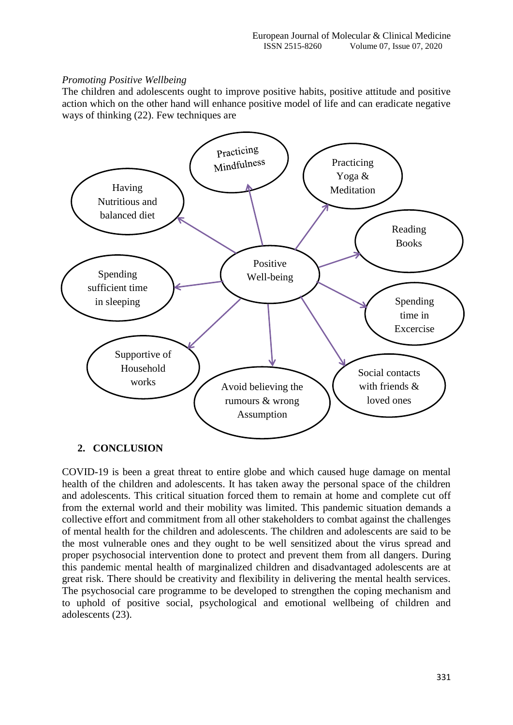# *Promoting Positive Wellbeing*

The children and adolescents ought to improve positive habits, positive attitude and positive action which on the other hand will enhance positive model of life and can eradicate negative ways of thinking (22). Few techniques are



## **2. CONCLUSION**

COVID-19 is been a great threat to entire globe and which caused huge damage on mental health of the children and adolescents. It has taken away the personal space of the children and adolescents. This critical situation forced them to remain at home and complete cut off from the external world and their mobility was limited. This pandemic situation demands a collective effort and commitment from all other stakeholders to combat against the challenges of mental health for the children and adolescents. The children and adolescents are said to be the most vulnerable ones and they ought to be well sensitized about the virus spread and proper psychosocial intervention done to protect and prevent them from all dangers. During this pandemic mental health of marginalized children and disadvantaged adolescents are at great risk. There should be creativity and flexibility in delivering the mental health services. The psychosocial care programme to be developed to strengthen the coping mechanism and to uphold of positive social, psychological and emotional wellbeing of children and adolescents (23).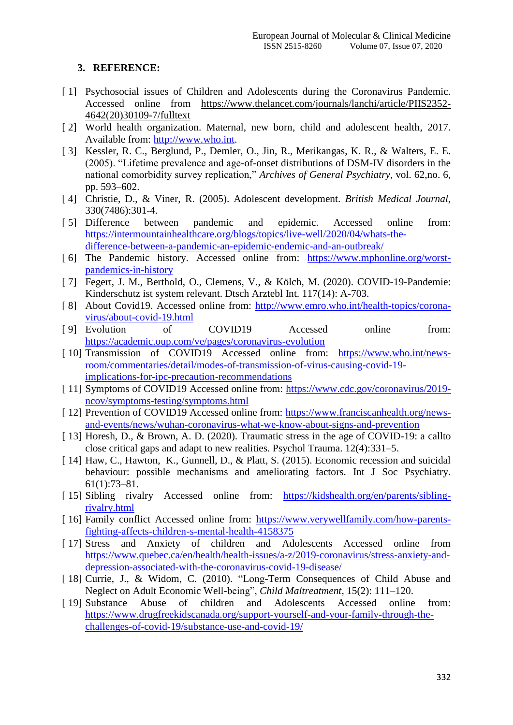# **3. REFERENCE:**

- [ 1] Psychosocial issues of Children and Adolescents during the Coronavirus Pandemic. Accessed online from [https://www.thelancet.com/journals/lanchi/article/PIIS2352-](https://www.thelancet.com/journals/lanchi/article/PIIS2352-4642(20)30109-7/fulltext) [4642\(20\)30109-7/fulltext](https://www.thelancet.com/journals/lanchi/article/PIIS2352-4642(20)30109-7/fulltext)
- [ 2] World health organization. Maternal, new born, child and adolescent health, 2017. Available from: [http://www.who.int.](http://www.who.int/)
- [ 3] Kessler, R. C., Berglund, P., Demler, O., Jin, R., Merikangas, K. R., & Walters, E. E. (2005). "Lifetime prevalence and age-of-onset distributions of DSM-IV disorders in the national comorbidity survey replication," *Archives of General Psychiatry*, vol. 62,no. 6, pp. 593–602.
- [ 4] Christie, D., & Viner, R. (2005). Adolescent development. *British Medical Journal,* 330(7486):301-4.
- [5] Difference between pandemic and epidemic. Accessed online from: [https://intermountainhealthcare.org/blogs/topics/live-well/2020/04/whats-the](https://intermountainhealthcare.org/blogs/topics/live-well/2020/04/whats-the-difference-between-a-pandemic-an-epidemic-endemic-and-an-outbreak/)[difference-between-a-pandemic-an-epidemic-endemic-and-an-outbreak/](https://intermountainhealthcare.org/blogs/topics/live-well/2020/04/whats-the-difference-between-a-pandemic-an-epidemic-endemic-and-an-outbreak/)
- [ 6] The Pandemic history. Accessed online from: [https://www.mphonline.org/worst](https://www.mphonline.org/worst-pandemics-in-history)[pandemics-in-history](https://www.mphonline.org/worst-pandemics-in-history)
- [ 7] Fegert, J. M., Berthold, O., Clemens, V., & Kölch, M. (2020). COVID-19-Pandemie: Kinderschutz ist system relevant. Dtsch Arztebl Int. 117(14): A-703.
- [ 8] About Covid19. Accessed online from: [http://www.emro.who.int/health-topics/corona](http://www.emro.who.int/health-topics/corona-virus/about-covid-19.html)[virus/about-covid-19.html](http://www.emro.who.int/health-topics/corona-virus/about-covid-19.html)
- [ 9] Evolution of COVID19 Accessed online from: <https://academic.oup.com/ve/pages/coronavirus-evolution>
- [10] Transmission of COVID19 Accessed online from: [https://www.who.int/news](https://www.who.int/news-room/commentaries/detail/modes-of-transmission-of-virus-causing-covid-19-implications-for-ipc-precaution-recommendations)[room/commentaries/detail/modes-of-transmission-of-virus-causing-covid-19](https://www.who.int/news-room/commentaries/detail/modes-of-transmission-of-virus-causing-covid-19-implications-for-ipc-precaution-recommendations) [implications-for-ipc-precaution-recommendations](https://www.who.int/news-room/commentaries/detail/modes-of-transmission-of-virus-causing-covid-19-implications-for-ipc-precaution-recommendations)
- [ 11] Symptoms of COVID19 Accessed online from: [https://www.cdc.gov/coronavirus/2019](https://www.cdc.gov/coronavirus/2019-ncov/symptoms-testing/symptoms.html) [ncov/symptoms-testing/symptoms.html](https://www.cdc.gov/coronavirus/2019-ncov/symptoms-testing/symptoms.html)
- [ 12] Prevention of COVID19 Accessed online from: [https://www.franciscanhealth.org/news](https://www.franciscanhealth.org/news-and-events/news/wuhan-coronavirus-what-we-know-about-signs-and-prevention)[and-events/news/wuhan-coronavirus-what-we-know-about-signs-and-prevention](https://www.franciscanhealth.org/news-and-events/news/wuhan-coronavirus-what-we-know-about-signs-and-prevention)
- [ 13] Horesh, D., & Brown, A. D. (2020). Traumatic stress in the age of COVID-19: a callto close critical gaps and adapt to new realities. Psychol Trauma. 12(4):331–5.
- [ 14] Haw, C., Hawton, K., Gunnell, D., & Platt, S. (2015). Economic recession and suicidal behaviour: possible mechanisms and ameliorating factors. Int J Soc Psychiatry. 61(1):73–81.
- [ 15] Sibling rivalry Accessed online from: [https://kidshealth.org/en/parents/sibling](https://kidshealth.org/en/parents/sibling-rivalry.html)[rivalry.html](https://kidshealth.org/en/parents/sibling-rivalry.html)
- [ 16] Family conflict Accessed online from: [https://www.verywellfamily.com/how-parents](https://www.verywellfamily.com/how-parents-fighting-affects-children-s-mental-health-4158375)[fighting-affects-children-s-mental-health-4158375](https://www.verywellfamily.com/how-parents-fighting-affects-children-s-mental-health-4158375)
- [17] Stress and Anxiety of children and Adolescents Accessed online from [https://www.quebec.ca/en/health/health-issues/a-z/2019-coronavirus/stress-anxiety-and](https://www.quebec.ca/en/health/health-issues/a-z/2019-coronavirus/stress-anxiety-and-depression-associated-with-the-coronavirus-covid-19-disease/)[depression-associated-with-the-coronavirus-covid-19-disease/](https://www.quebec.ca/en/health/health-issues/a-z/2019-coronavirus/stress-anxiety-and-depression-associated-with-the-coronavirus-covid-19-disease/)
- [ 18] Currie, J., & Widom, C. (2010). "Long-Term Consequences of Child Abuse and Neglect on Adult Economic Well-being", *Child Maltreatment*, 15(2): 111–120.
- [ 19] Substance Abuse of children and Adolescents Accessed online from: [https://www.drugfreekidscanada.org/support-yourself-and-your-family-through-the](https://www.drugfreekidscanada.org/support-yourself-and-your-family-through-the-challenges-of-covid-19/substance-use-and-covid-19/)[challenges-of-covid-19/substance-use-and-covid-19/](https://www.drugfreekidscanada.org/support-yourself-and-your-family-through-the-challenges-of-covid-19/substance-use-and-covid-19/)